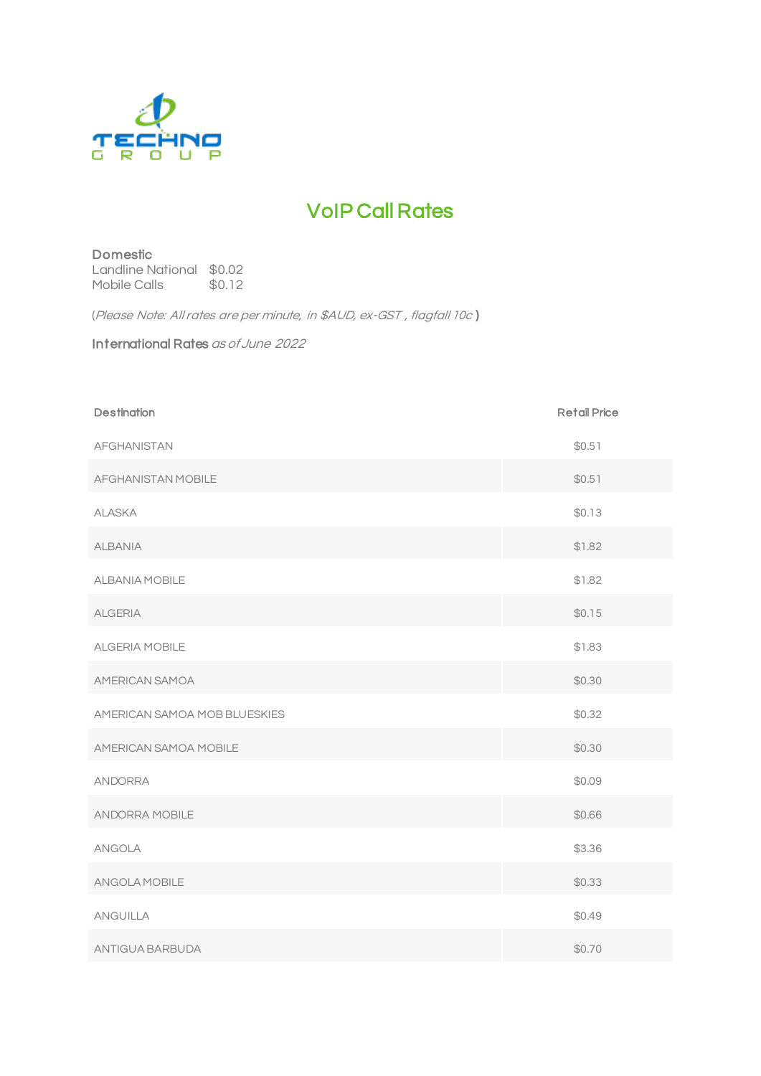

## VoIP Call Rates

## Domestic Landline National \$0.02<br>Mobile Calls \$0.12 Mobile Calls

(Please Note: All rates are per minute, in \$AUD, ex-GST , flagfall 10c )

International Rates as of June <sup>2022</sup>

| <b>Destination</b>           | <b>Retail Price</b> |
|------------------------------|---------------------|
| <b>AFGHANISTAN</b>           | \$0.51              |
| AFGHANISTAN MOBILE           | \$0.51              |
| <b>ALASKA</b>                | \$0.13              |
| <b>ALBANIA</b>               | \$1.82              |
| ALBANIA MOBILE               | \$1.82              |
| <b>ALGERIA</b>               | \$0.15              |
| ALGERIA MOBILE               | \$1.83              |
| AMERICAN SAMOA               | \$0.30              |
| AMERICAN SAMOA MOB BLUESKIES | \$0.32              |
| AMERICAN SAMOA MOBILE        | \$0.30              |
| <b>ANDORRA</b>               | \$0.09              |
| ANDORRA MOBILE               | \$0.66              |
| <b>ANGOLA</b>                | \$3.36              |
| ANGOLA MOBILE                | \$0.33              |
| <b>ANGUILLA</b>              | \$0.49              |
| ANTIGUA BARBUDA              | \$0.70              |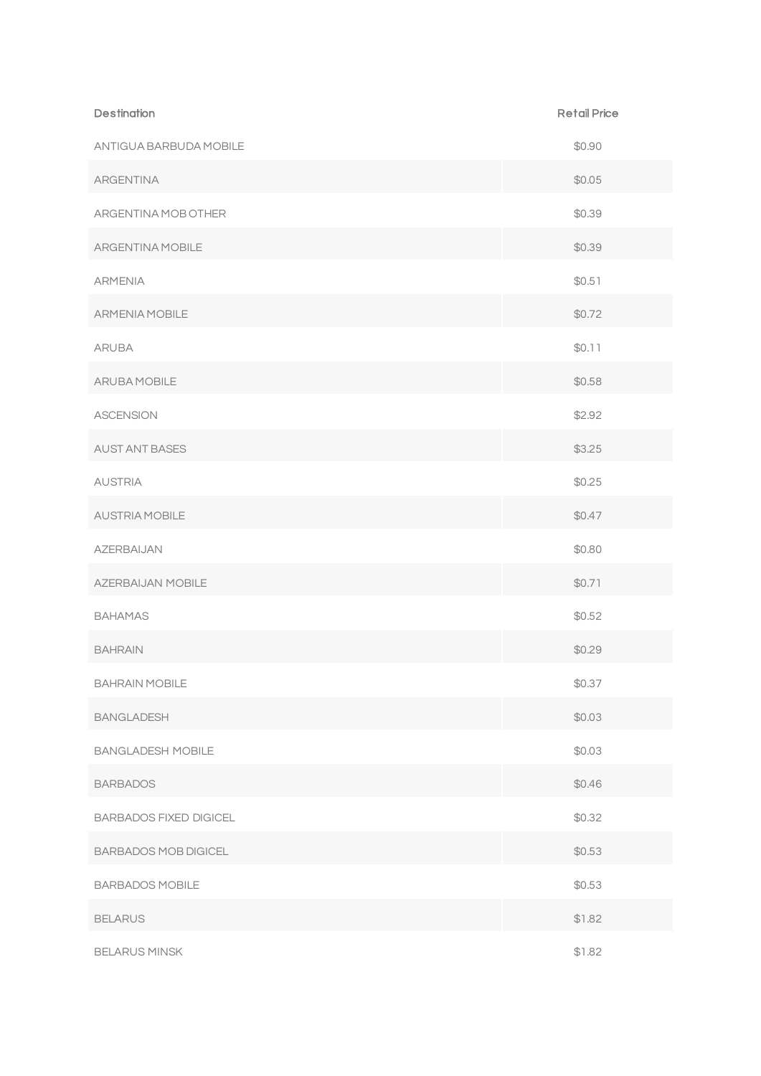| <b>Destination</b>            | <b>Retail Price</b> |
|-------------------------------|---------------------|
| ANTIGUA BARBUDA MOBILE        | \$0.90              |
| <b>ARGENTINA</b>              | \$0.05              |
| ARGENTINA MOB OTHER           | \$0.39              |
| ARGENTINA MOBILE              | \$0.39              |
| <b>ARMENIA</b>                | \$0.51              |
| <b>ARMENIA MOBILE</b>         | \$0.72              |
| <b>ARUBA</b>                  | \$0.11              |
| ARUBA MOBILE                  | \$0.58              |
| <b>ASCENSION</b>              | \$2.92              |
| <b>AUST ANT BASES</b>         | \$3.25              |
| <b>AUSTRIA</b>                | \$0.25              |
| AUSTRIA MOBILE                | \$0.47              |
| <b>AZERBAIJAN</b>             | \$0.80              |
| AZERBAIJAN MOBILE             | \$0.71              |
| <b>BAHAMAS</b>                | \$0.52              |
| <b>BAHRAIN</b>                | \$0.29              |
| <b>BAHRAIN MOBILE</b>         | \$0.37              |
| <b>BANGLADESH</b>             | \$0.03              |
| <b>BANGLADESH MOBILE</b>      | \$0.03              |
| <b>BARBADOS</b>               | \$0.46              |
| <b>BARBADOS FIXED DIGICEL</b> | \$0.32              |
| <b>BARBADOS MOB DIGICEL</b>   | \$0.53              |
| <b>BARBADOS MOBILE</b>        | \$0.53              |
| <b>BELARUS</b>                | \$1.82              |
| <b>BELARUS MINSK</b>          | \$1.82              |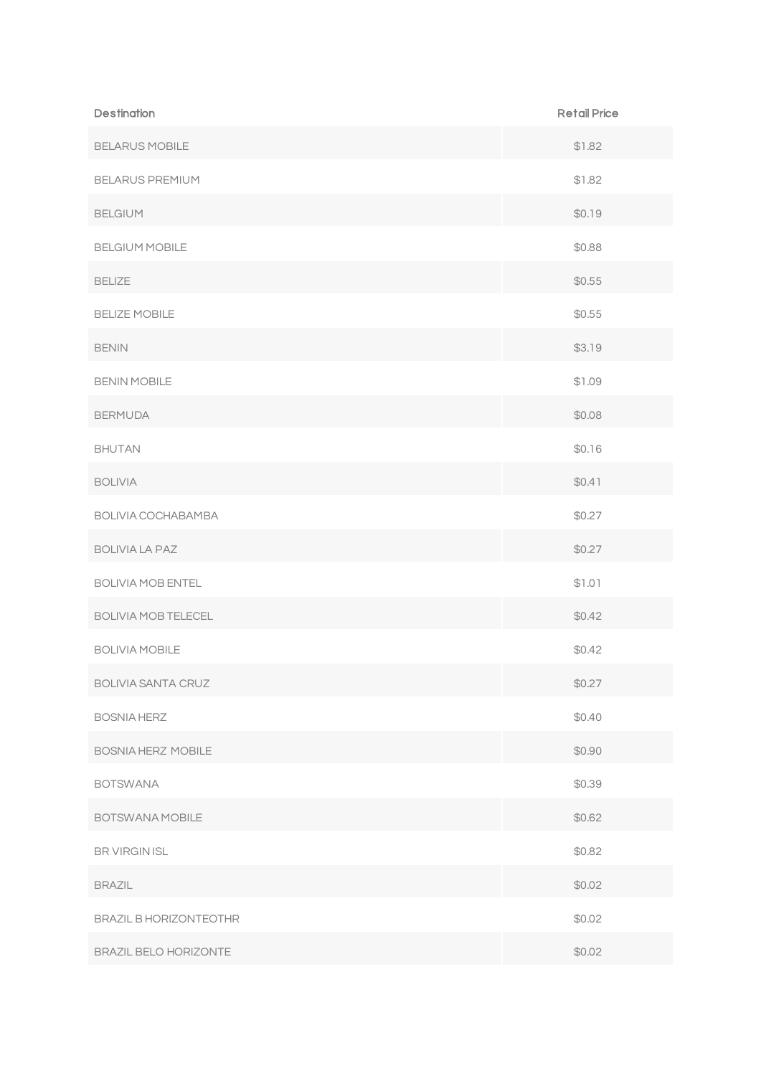| <b>Destination</b>         | <b>Retail Price</b> |
|----------------------------|---------------------|
| <b>BELARUS MOBILE</b>      | \$1.82              |
| <b>BELARUS PREMIUM</b>     | \$1.82              |
| <b>BELGIUM</b>             | \$0.19              |
| <b>BELGIUM MOBILE</b>      | \$0.88              |
| <b>BELIZE</b>              | \$0.55              |
| <b>BELIZE MOBILE</b>       | \$0.55              |
| <b>BENIN</b>               | \$3.19              |
| <b>BENIN MOBILE</b>        | \$1.09              |
| <b>BERMUDA</b>             | \$0.08              |
| <b>BHUTAN</b>              | \$0.16              |
| <b>BOLIVIA</b>             | \$0.41              |
| BOLIVIA COCHABAMBA         | \$0.27              |
| <b>BOLIVIA LA PAZ</b>      | \$0.27              |
| <b>BOLIVIA MOB ENTEL</b>   | \$1.01              |
| <b>BOLIVIA MOB TELECEL</b> | \$0.42              |
| <b>BOLIVIA MOBILE</b>      | \$0.42              |
| <b>BOLIVIA SANTA CRUZ</b>  | \$0.27              |
| <b>BOSNIA HERZ</b>         | \$0.40              |
| <b>BOSNIA HERZ MOBILE</b>  | \$0.90              |
| <b>BOTSWANA</b>            | \$0.39              |
| BOTSWANA MOBILE            | \$0.62              |
| BR VIRGIN ISL              | \$0.82              |
| <b>BRAZIL</b>              | \$0.02              |
| BRAZIL B HORIZONTEOTHR     | \$0.02              |
| BRAZIL BELO HORIZONTE      | \$0.02              |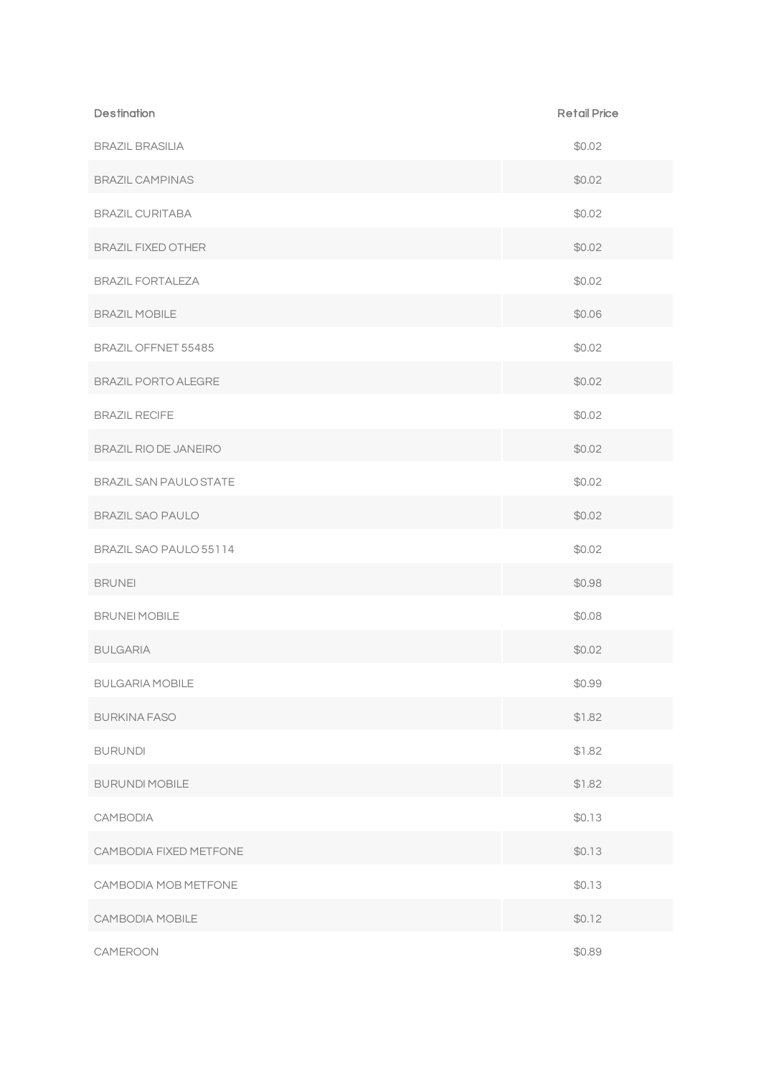| <b>Destination</b>            | <b>Retail Price</b> |
|-------------------------------|---------------------|
| <b>BRAZIL BRASILIA</b>        | \$0.02              |
| <b>BRAZIL CAMPINAS</b>        | \$0.02              |
| <b>BRAZIL CURITABA</b>        | \$0.02              |
| <b>BRAZIL FIXED OTHER</b>     | \$0.02              |
| <b>BRAZIL FORTALEZA</b>       | \$0.02              |
| <b>BRAZIL MOBILE</b>          | \$0.06              |
| BRAZIL OFFNET 55485           | \$0.02              |
| <b>BRAZIL PORTO ALEGRE</b>    | \$0.02              |
| <b>BRAZIL RECIFE</b>          | \$0.02              |
| BRAZIL RIO DE JANEIRO         | \$0.02              |
| <b>BRAZIL SAN PAULO STATE</b> | \$0.02              |
| <b>BRAZIL SAO PAULO</b>       | \$0.02              |
| BRAZIL SAO PAULO 55114        | \$0.02              |
| <b>BRUNEI</b>                 | \$0.98              |
| <b>BRUNEI MOBILE</b>          | \$0.08              |
| <b>BULGARIA</b>               | \$0.02              |
| <b>BULGARIA MOBILE</b>        | \$0.99              |
| <b>BURKINA FASO</b>           | \$1.82              |
| <b>BURUNDI</b>                | \$1.82              |
| <b>BURUNDI MOBILE</b>         | \$1.82              |
| <b>CAMBODIA</b>               | \$0.13              |
| CAMBODIA FIXED METFONE        | \$0.13              |
| CAMBODIA MOB METFONE          | \$0.13              |
| CAMBODIA MOBILE               | \$0.12              |
| CAMEROON                      | \$0.89              |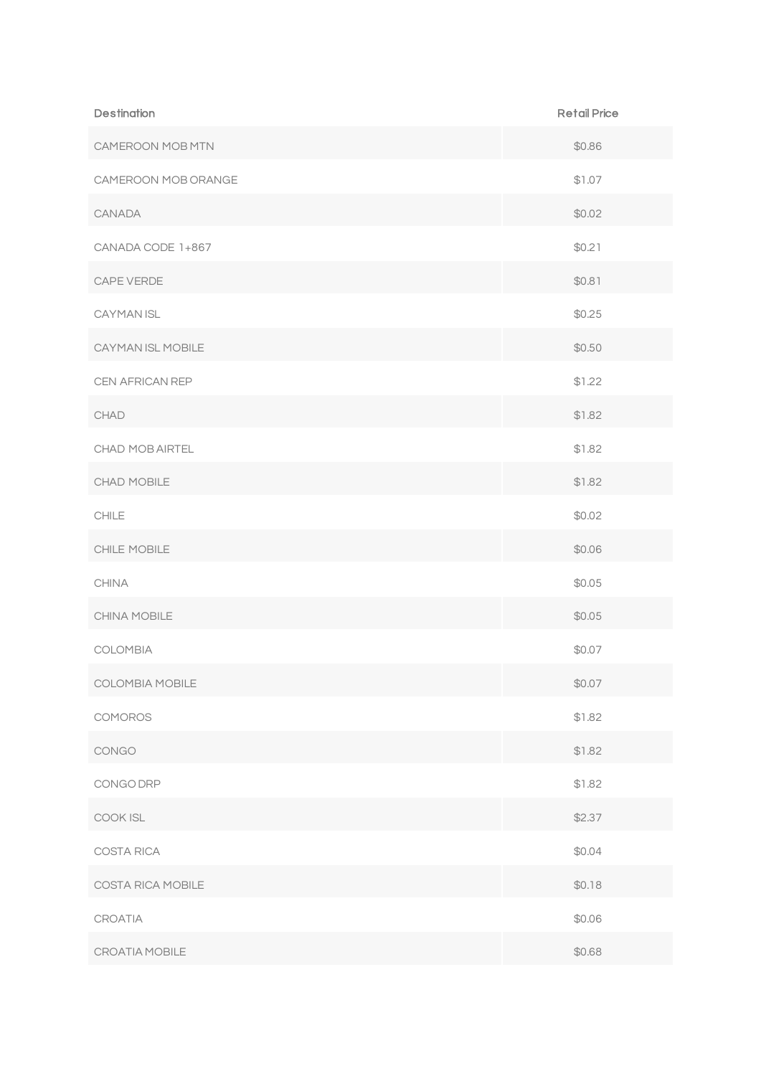| <b>Destination</b>  | <b>Retail Price</b> |
|---------------------|---------------------|
| CAMEROON MOB MTN    | \$0.86              |
| CAMEROON MOB ORANGE | \$1.07              |
| CANADA              | \$0.02              |
| CANADA CODE 1+867   | \$0.21              |
| CAPE VERDE          | \$0.81              |
| CAYMAN ISL          | \$0.25              |
| CAYMAN ISL MOBILE   | \$0.50              |
| CEN AFRICAN REP     | \$1.22              |
| CHAD                | \$1.82              |
| CHAD MOB AIRTEL     | \$1.82              |
| CHAD MOBILE         | \$1.82              |
| CHILE               | \$0.02              |
| CHILE MOBILE        | \$0.06              |
| <b>CHINA</b>        | \$0.05              |
| CHINA MOBILE        | \$0.05              |
| COLOMBIA            | \$0.07              |
| COLOMBIA MOBILE     | \$0.07              |
| COMOROS             | \$1.82              |
| CONGO               | \$1.82              |
| CONGO DRP           | \$1.82              |
| COOK ISL            | \$2.37              |
| COSTA RICA          | \$0.04              |
| COSTA RICA MOBILE   | \$0.18              |
| CROATIA             | \$0.06              |
| CROATIA MOBILE      | \$0.68              |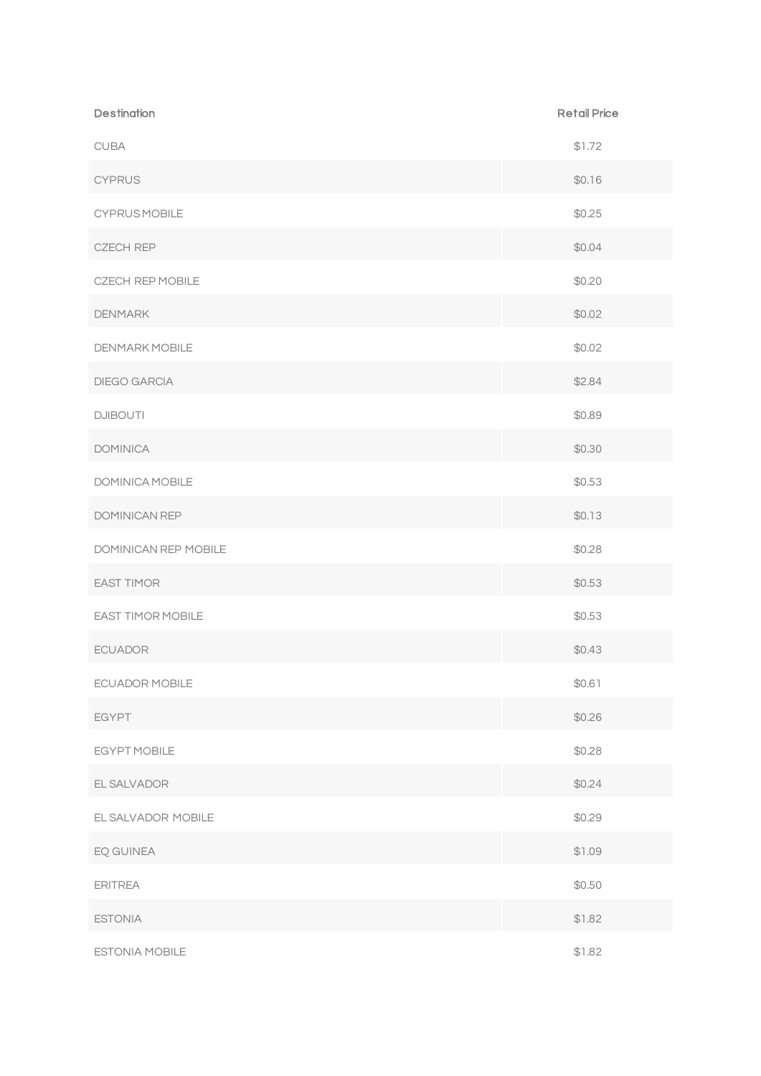| <b>Destination</b>       | <b>Retail Price</b> |
|--------------------------|---------------------|
| CUBA                     | \$1.72              |
| <b>CYPRUS</b>            | \$0.16              |
| <b>CYPRUSMOBILE</b>      | \$0.25              |
| <b>CZECH REP</b>         | \$0.04              |
| <b>CZECH REP MOBILE</b>  | \$0.20              |
| <b>DENMARK</b>           | \$0.02              |
| DENMARK MOBILE           | \$0.02              |
| DIEGO GARCIA             | \$2.84              |
| <b>DJIBOUTI</b>          | \$0.89              |
| <b>DOMINICA</b>          | \$0.30              |
| DOMINICA MOBILE          | \$0.53              |
| DOMINICAN REP            | \$0.13              |
| DOMINICAN REP MOBILE     | \$0.28              |
| <b>EAST TIMOR</b>        | \$0.53              |
| <b>EAST TIMOR MOBILE</b> | \$0.53              |
| <b>ECUADOR</b>           | \$0.43              |
| ECUADOR MOBILE           | \$0.61              |
| <b>EGYPT</b>             | \$0.26              |
| EGYPT MOBILE             | \$0.28              |
| EL SALVADOR              | \$0.24              |
| EL SALVADOR MOBILE       | \$0.29              |
| EQ GUINEA                | \$1.09              |
| <b>ERITREA</b>           | \$0.50              |
| <b>ESTONIA</b>           | \$1.82              |
| ESTONIA MOBILE           | \$1.82              |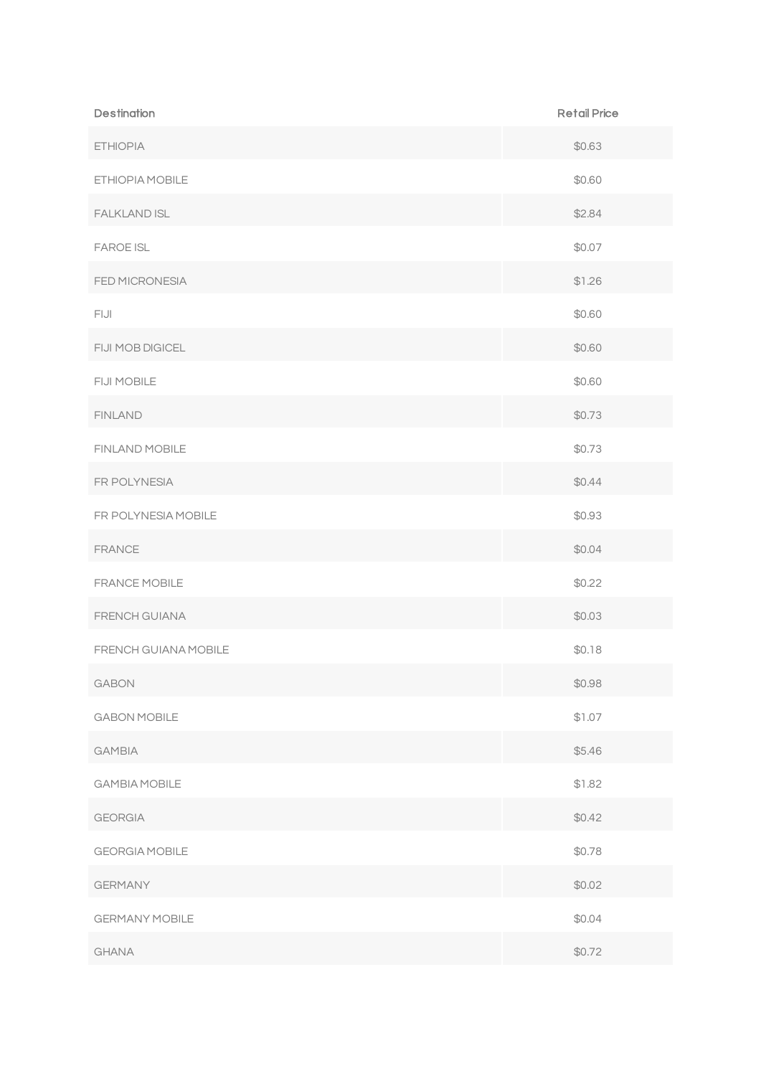| <b>Destination</b>    | <b>Retail Price</b> |
|-----------------------|---------------------|
| <b>ETHIOPIA</b>       | \$0.63              |
| ETHIOPIA MOBILE       | \$0.60              |
| <b>FALKLAND ISL</b>   | \$2.84              |
| <b>FAROE ISL</b>      | \$0.07              |
| FED MICRONESIA        | \$1.26              |
| FIJI                  | \$0.60              |
| FIJI MOB DIGICEL      | \$0.60              |
| FIJI MOBILE           | \$0.60              |
| <b>FINLAND</b>        | \$0.73              |
| FINLAND MOBILE        | \$0.73              |
| FR POLYNESIA          | \$0.44              |
| FR POLYNESIA MOBILE   | \$0.93              |
| <b>FRANCE</b>         | \$0.04              |
| FRANCE MOBILE         | \$0.22              |
| FRENCH GUIANA         | \$0.03              |
| FRENCH GUIANA MOBILE  | \$0.18              |
| GABON                 | \$0.98              |
| <b>GABON MOBILE</b>   | \$1.07              |
| <b>GAMBIA</b>         | \$5.46              |
| <b>GAMBIA MOBILE</b>  | \$1.82              |
| <b>GEORGIA</b>        | \$0.42              |
| <b>GEORGIA MOBILE</b> | \$0.78              |
| <b>GERMANY</b>        | \$0.02              |
| <b>GERMANY MOBILE</b> | \$0.04              |
| <b>GHANA</b>          | \$0.72              |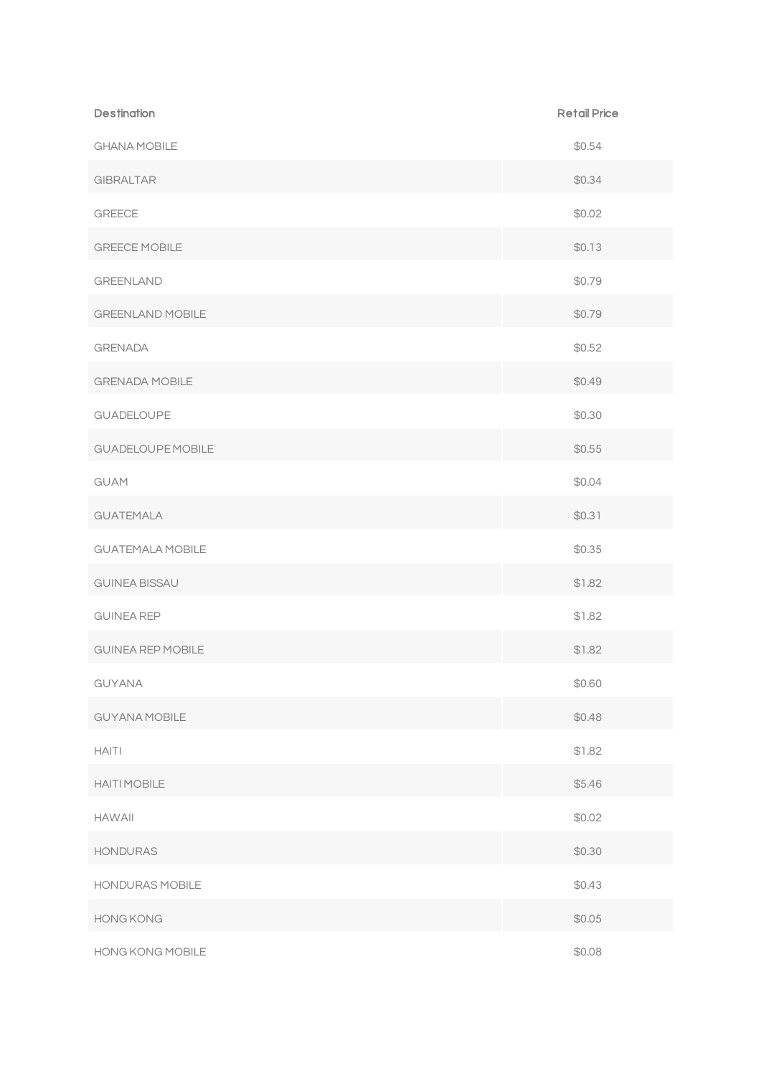| <b>Destination</b>       | <b>Retail Price</b> |
|--------------------------|---------------------|
| <b>GHANA MOBILE</b>      | \$0.54              |
| <b>GIBRALTAR</b>         | \$0.34              |
| <b>GREECE</b>            | \$0.02              |
| <b>GREECE MOBILE</b>     | \$0.13              |
| <b>GREENLAND</b>         | \$0.79              |
| <b>GREENLAND MOBILE</b>  | \$0.79              |
| <b>GRENADA</b>           | \$0.52              |
| <b>GRENADA MOBILE</b>    | \$0.49              |
| GUADELOUPE               | \$0.30              |
| <b>GUADELOUPE MOBILE</b> | \$0.55              |
| <b>GUAM</b>              | \$0.04              |
| <b>GUATEMALA</b>         | \$0.31              |
| <b>GUATEMALA MOBILE</b>  | \$0.35              |
| <b>GUINEA BISSAU</b>     | \$1.82              |
| <b>GUINEA REP</b>        | \$1.82              |
| <b>GUINEA REP MOBILE</b> | \$1.82              |
| GUYANA                   | \$0.60              |
| <b>GUYANA MOBILE</b>     | \$0.48              |
| <b>HAITI</b>             | \$1.82              |
| <b>HAITI MOBILE</b>      | \$5.46              |
| <b>HAWAII</b>            | \$0.02              |
| <b>HONDURAS</b>          | \$0.30              |
| HONDURAS MOBILE          | \$0.43              |
| HONG KONG                | \$0.05              |
| HONG KONG MOBILE         | \$0.08              |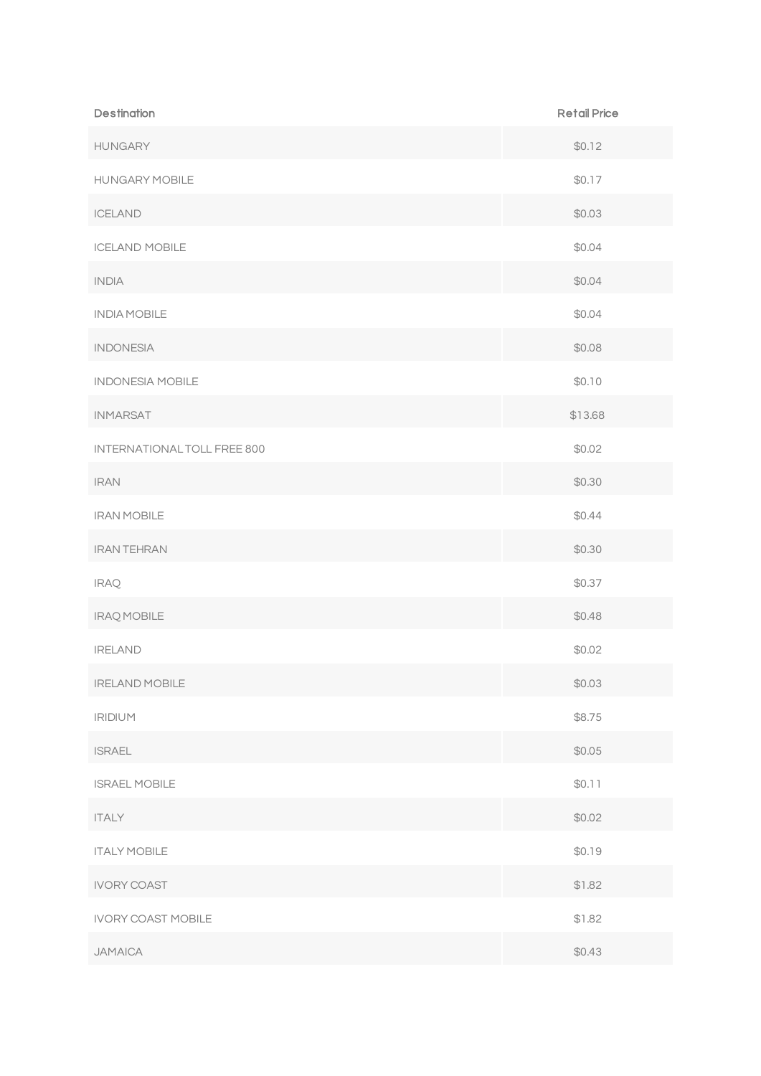| <b>Destination</b>          | <b>Retail Price</b> |
|-----------------------------|---------------------|
| <b>HUNGARY</b>              | \$0.12              |
| <b>HUNGARY MOBILE</b>       | \$0.17              |
| <b>ICELAND</b>              | \$0.03              |
| <b>ICELAND MOBILE</b>       | \$0.04              |
| <b>INDIA</b>                | \$0.04              |
| <b>INDIA MOBILE</b>         | \$0.04              |
| <b>INDONESIA</b>            | \$0.08              |
| <b>INDONESIA MOBILE</b>     | \$0.10              |
| <b>INMARSAT</b>             | \$13.68             |
| INTERNATIONAL TOLL FREE 800 | \$0.02              |
| <b>IRAN</b>                 | \$0.30              |
| <b>IRAN MOBILE</b>          | \$0.44              |
| <b>IRAN TEHRAN</b>          | \$0.30              |
| <b>IRAQ</b>                 | \$0.37              |
| <b>IRAQ MOBILE</b>          | \$0.48              |
| <b>IRELAND</b>              | \$0.02              |
| <b>IRELAND MOBILE</b>       | \$0.03              |
| <b>IRIDIUM</b>              | \$8.75              |
| <b>ISRAEL</b>               | \$0.05              |
| <b>ISRAEL MOBILE</b>        | \$0.11              |
| <b>ITALY</b>                | \$0.02              |
| <b>ITALY MOBILE</b>         | \$0.19              |
| <b>IVORY COAST</b>          | \$1.82              |
| <b>IVORY COAST MOBILE</b>   | \$1.82              |
| <b>JAMAICA</b>              | \$0.43              |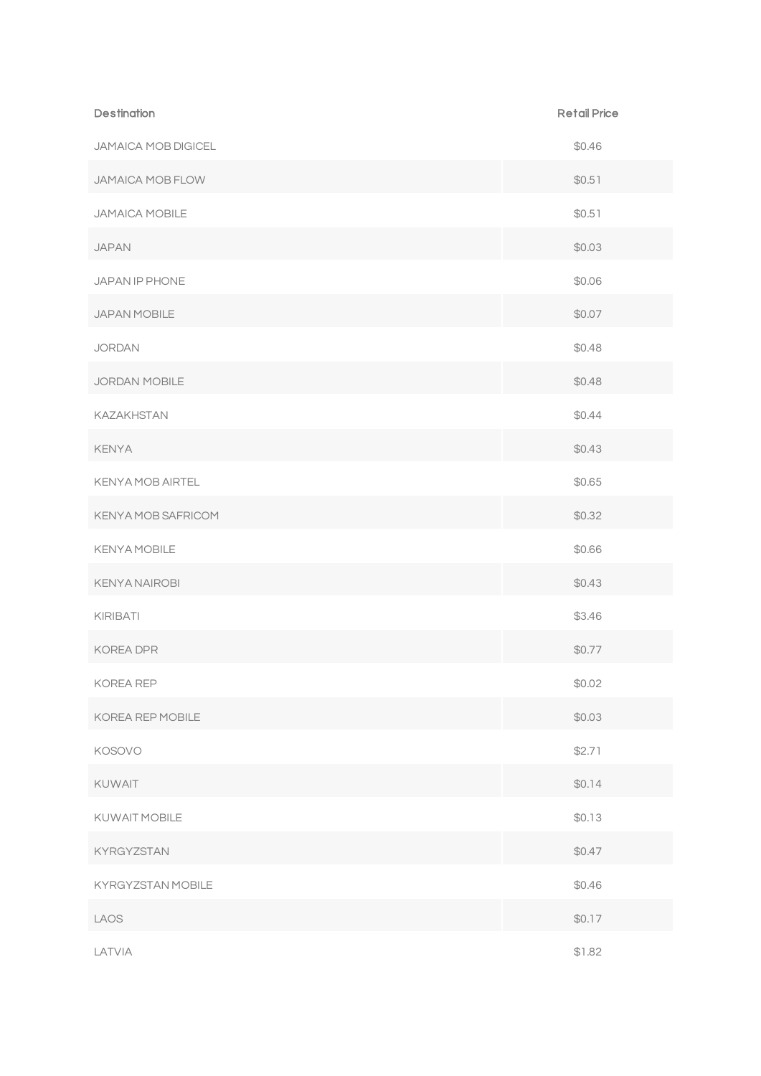| <b>Destination</b>      | <b>Retail Price</b> |
|-------------------------|---------------------|
| JAMAICA MOB DIGICEL     | \$0.46              |
| <b>JAMAICA MOB FLOW</b> | \$0.51              |
| JAMAICA MOBILE          | \$0.51              |
| <b>JAPAN</b>            | \$0.03              |
| JAPAN IP PHONE          | \$0.06              |
| JAPAN MOBILE            | \$0.07              |
| <b>JORDAN</b>           | \$0.48              |
| JORDAN MOBILE           | \$0.48              |
| KAZAKHSTAN              | \$0.44              |
| <b>KENYA</b>            | \$0.43              |
| <b>KENYA MOB AIRTEL</b> | \$0.65              |
| KENYA MOB SAFRICOM      | \$0.32              |
| <b>KENYA MOBILE</b>     | \$0.66              |
| <b>KENYA NAIROBI</b>    | \$0.43              |
| KIRIBATI                | \$3.46              |
| KOREA DPR               | \$0.77              |
| KOREA REP               | \$0.02              |
| KOREA REP MOBILE        | \$0.03              |
| KOSOVO                  | \$2.71              |
| KUWAIT                  | \$0.14              |
| KUWAIT MOBILE           | \$0.13              |
| KYRGYZSTAN              | \$0.47              |
| KYRGYZSTAN MOBILE       | \$0.46              |
| LAOS                    | \$0.17              |
| LATVIA                  | \$1.82              |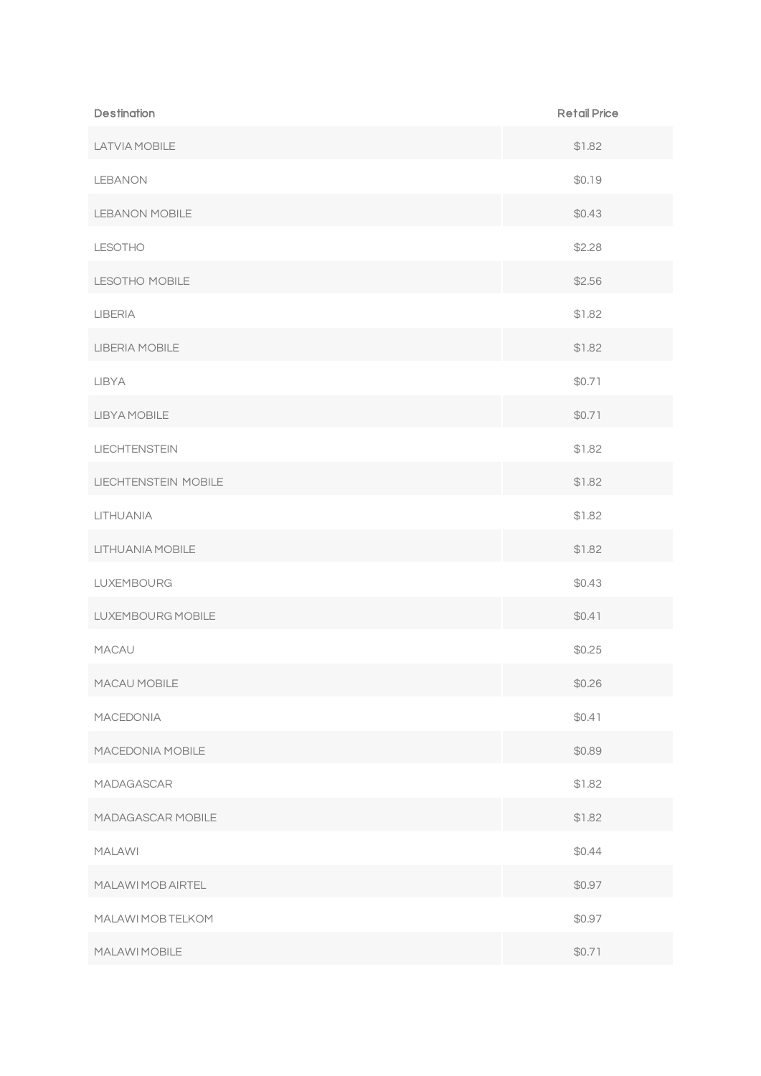| <b>Destination</b>    | <b>Retail Price</b> |
|-----------------------|---------------------|
| LATVIA MOBILE         | \$1.82              |
| <b>LEBANON</b>        | \$0.19              |
| <b>LEBANON MOBILE</b> | \$0.43              |
| <b>LESOTHO</b>        | \$2.28              |
| LESOTHO MOBILE        | \$2.56              |
| <b>LIBERIA</b>        | \$1.82              |
| LIBERIA MOBILE        | \$1.82              |
| LIBYA                 | \$0.71              |
| LIBYA MOBILE          | \$0.71              |
| <b>LIECHTENSTEIN</b>  | \$1.82              |
| LIECHTENSTEIN MOBILE  | \$1.82              |
| LITHUANIA             | \$1.82              |
| LITHUANIA MOBILE      | \$1.82              |
| LUXEMBOURG            | \$0.43              |
| LUXEMBOURG MOBILE     | \$0.41              |
| <b>MACAU</b>          | \$0.25              |
| MACAU MOBILE          | \$0.26              |
| MACEDONIA             | \$0.41              |
| MACEDONIA MOBILE      | \$0.89              |
| MADAGASCAR            | \$1.82              |
| MADAGASCAR MOBILE     | \$1.82              |
| <b>MALAWI</b>         | \$0.44              |
| MALAWI MOB AIRTEL     | \$0.97              |
| MALAWI MOB TELKOM     | \$0.97              |
| MALAWI MOBILE         | \$0.71              |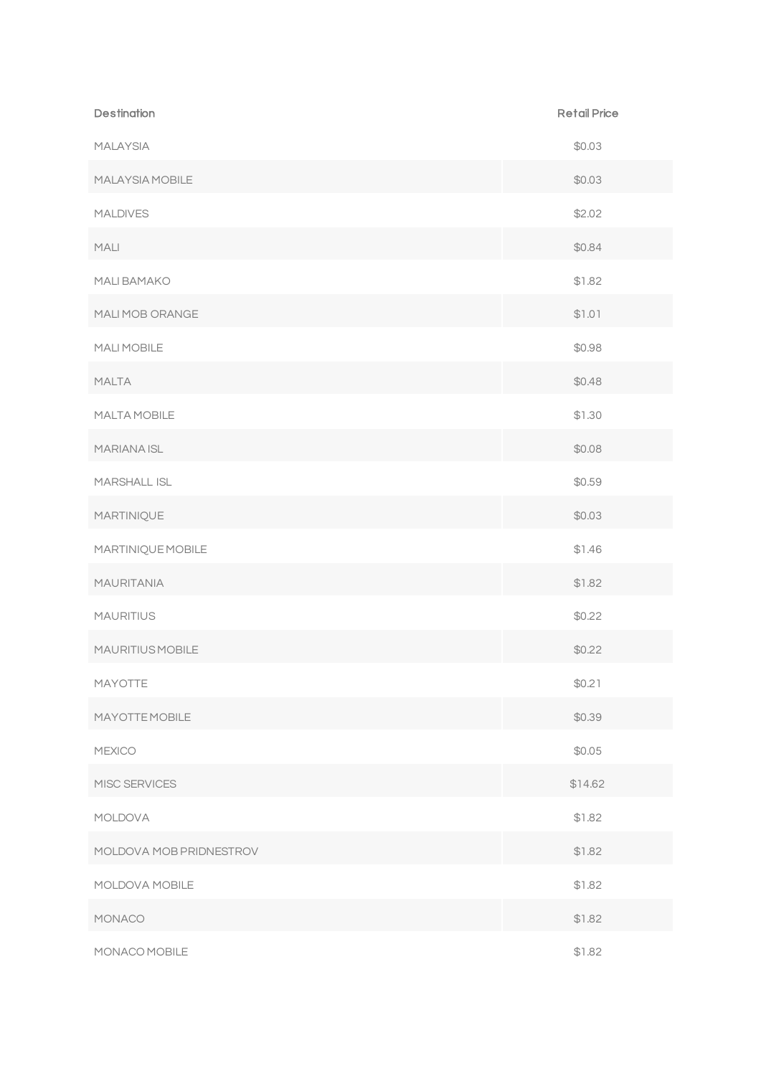| <b>Destination</b>      | <b>Retail Price</b> |
|-------------------------|---------------------|
| <b>MALAYSIA</b>         | \$0.03              |
| MALAYSIA MOBILE         | \$0.03              |
| <b>MALDIVES</b>         | \$2.02              |
| <b>MALI</b>             | \$0.84              |
| MALI BAMAKO             | \$1.82              |
| MALI MOB ORANGE         | \$1.01              |
| MALI MOBILE             | \$0.98              |
| <b>MALTA</b>            | \$0.48              |
| MALTA MOBILE            | \$1.30              |
| MARIANA ISL             | \$0.08              |
| <b>MARSHALL ISL</b>     | \$0.59              |
| MARTINIQUE              | \$0.03              |
| MARTINIQUE MOBILE       | \$1.46              |
| <b>MAURITANIA</b>       | \$1.82              |
| <b>MAURITIUS</b>        | \$0.22              |
| MAURITIUS MOBILE        | \$0.22              |
| MAYOTTE                 | \$0.21              |
| <b>MAYOTTE MOBILE</b>   | \$0.39              |
| <b>MEXICO</b>           | \$0.05              |
| MISC SERVICES           | \$14.62             |
| <b>MOLDOVA</b>          | \$1.82              |
| MOLDOVA MOB PRIDNESTROV | \$1.82              |
| MOLDOVA MOBILE          | \$1.82              |
| MONACO                  | \$1.82              |
| MONACO MOBILE           | \$1.82              |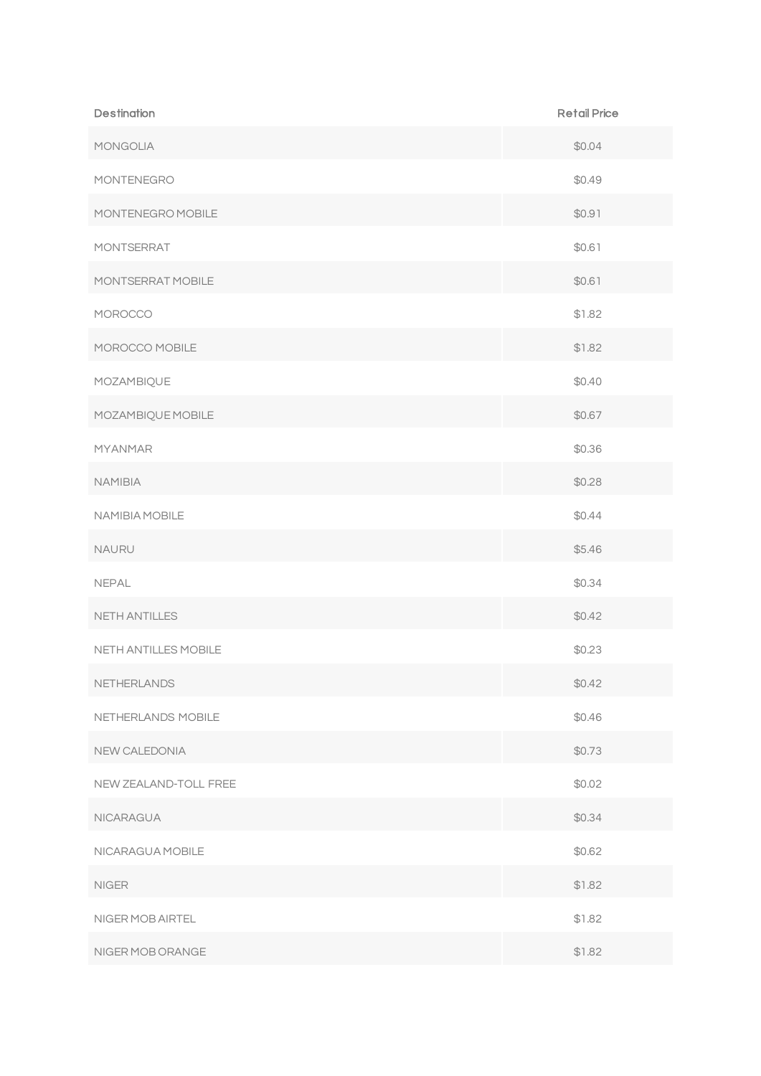| <b>Destination</b>    | <b>Retail Price</b> |
|-----------------------|---------------------|
| MONGOLIA              | \$0.04              |
| MONTENEGRO            | \$0.49              |
| MONTENEGRO MOBILE     | \$0.91              |
| MONTSERRAT            | \$0.61              |
| MONTSERRAT MOBILE     | \$0.61              |
| MOROCCO               | \$1.82              |
| MOROCCO MOBILE        | \$1.82              |
| MOZAMBIQUE            | \$0.40              |
| MOZAMBIQUE MOBILE     | \$0.67              |
| <b>MYANMAR</b>        | \$0.36              |
| <b>NAMIBIA</b>        | \$0.28              |
| NAMIBIA MOBILE        | \$0.44              |
| <b>NAURU</b>          | \$5.46              |
| <b>NEPAL</b>          | \$0.34              |
| <b>NETH ANTILLES</b>  | \$0.42              |
| NETH ANTILLES MOBILE  | \$0.23              |
| NETHERLANDS           | \$0.42              |
| NETHERLANDS MOBILE    | \$0.46              |
| NEW CALEDONIA         | \$0.73              |
| NEW ZEALAND-TOLL FREE | \$0.02              |
| <b>NICARAGUA</b>      | \$0.34              |
| NICARAGUA MOBILE      | \$0.62              |
| <b>NIGER</b>          | \$1.82              |
| NIGER MOB AIRTEL      | \$1.82              |
| NIGER MOB ORANGE      | \$1.82              |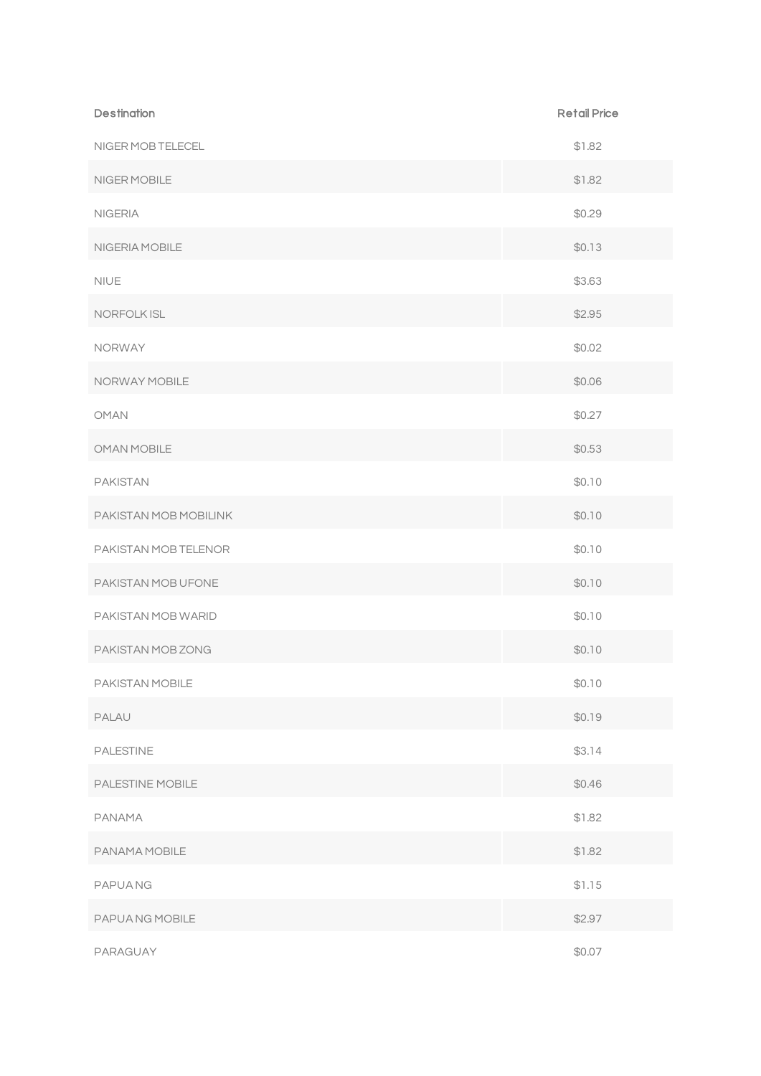| <b>Destination</b>    | <b>Retail Price</b> |
|-----------------------|---------------------|
| NIGER MOB TELECEL     | \$1.82              |
| NIGER MOBILE          | \$1.82              |
| <b>NIGERIA</b>        | \$0.29              |
| NIGERIA MOBILE        | \$0.13              |
| <b>NIUE</b>           | \$3.63              |
| NORFOLK ISL           | \$2.95              |
| <b>NORWAY</b>         | \$0.02              |
| NORWAY MOBILE         | \$0.06              |
| <b>OMAN</b>           | \$0.27              |
| <b>OMAN MOBILE</b>    | \$0.53              |
| <b>PAKISTAN</b>       | \$0.10              |
| PAKISTAN MOB MOBILINK | \$0.10              |
| PAKISTAN MOB TELENOR  | \$0.10              |
| PAKISTAN MOB UFONE    | \$0.10              |
| PAKISTAN MOB WARID    | \$0.10              |
| PAKISTAN MOB ZONG     | \$0.10              |
| PAKISTAN MOBILE       | \$0.10              |
| PALAU                 | \$0.19              |
| <b>PALESTINE</b>      | \$3.14              |
| PALESTINE MOBILE      | \$0.46              |
| PANAMA                | \$1.82              |
| PANAMA MOBILE         | \$1.82              |
| <b>PAPUANG</b>        | \$1.15              |
| PAPUA NG MOBILE       | \$2.97              |
| PARAGUAY              | \$0.07              |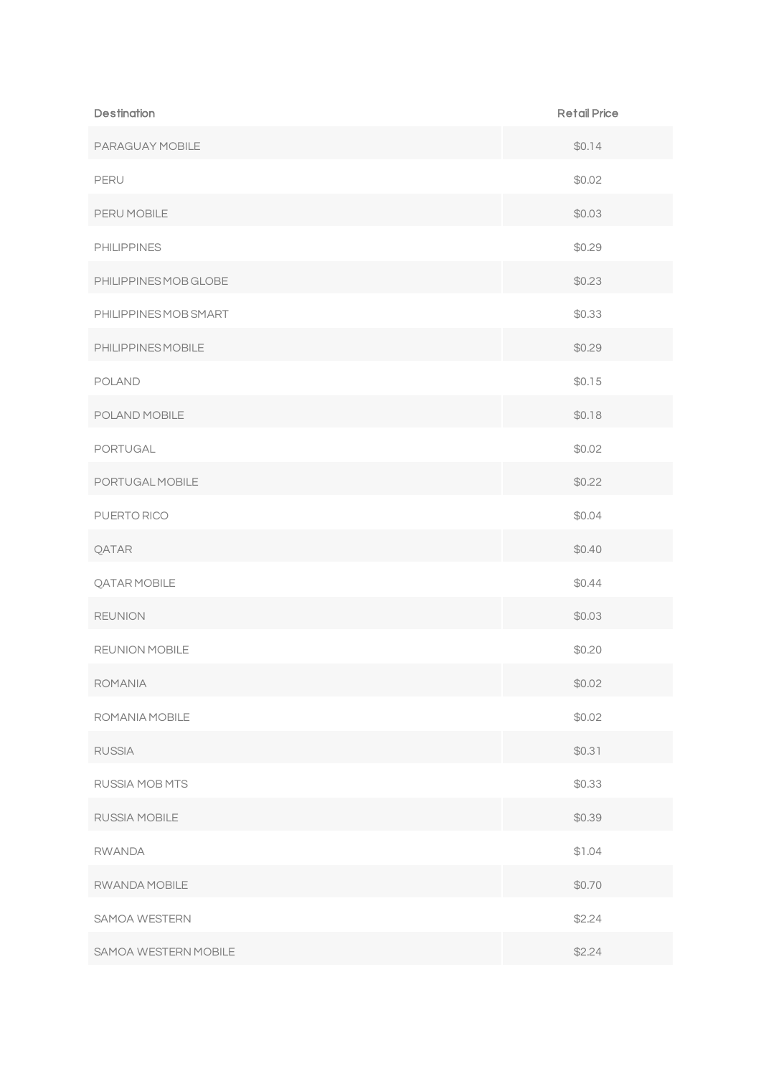| <b>Destination</b>    | <b>Retail Price</b> |
|-----------------------|---------------------|
| PARAGUAY MOBILE       | \$0.14              |
| PERU                  | \$0.02              |
| PERU MOBILE           | \$0.03              |
| <b>PHILIPPINES</b>    | \$0.29              |
| PHILIPPINES MOB GLOBE | \$0.23              |
| PHILIPPINES MOB SMART | \$0.33              |
| PHILIPPINES MOBILE    | \$0.29              |
| <b>POLAND</b>         | \$0.15              |
| POLAND MOBILE         | \$0.18              |
| PORTUGAL              | \$0.02              |
| PORTUGAL MOBILE       | \$0.22              |
| PUERTO RICO           | \$0.04              |
| QATAR                 | \$0.40              |
| <b>QATAR MOBILE</b>   | \$0.44              |
| <b>REUNION</b>        | \$0.03              |
| <b>REUNION MOBILE</b> | \$0.20              |
| <b>ROMANIA</b>        | \$0.02              |
| ROMANIA MOBILE        | \$0.02              |
| <b>RUSSIA</b>         | \$0.31              |
| RUSSIA MOB MTS        | \$0.33              |
| RUSSIA MOBILE         | \$0.39              |
| <b>RWANDA</b>         | \$1.04              |
| RWANDA MOBILE         | \$0.70              |
| SAMOA WESTERN         | \$2.24              |
| SAMOA WESTERN MOBILE  | \$2.24              |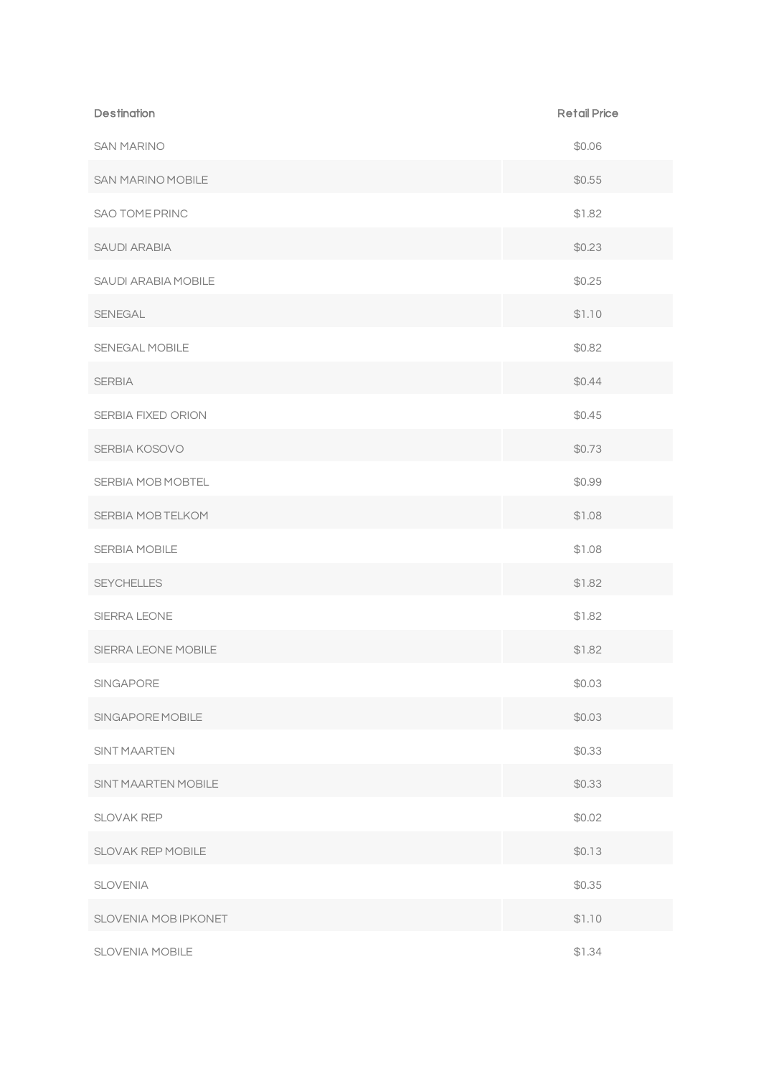| <b>Destination</b>         | <b>Retail Price</b> |
|----------------------------|---------------------|
| <b>SAN MARINO</b>          | \$0.06              |
| SAN MARINO MOBILE          | \$0.55              |
| SAO TOME PRINC             | \$1.82              |
| SAUDI ARABIA               | \$0.23              |
| SAUDI ARABIA MOBILE        | \$0.25              |
| SENEGAL                    | \$1.10              |
| SENEGAL MOBILE             | \$0.82              |
| <b>SERBIA</b>              | \$0.44              |
| SERBIA FIXED ORION         | \$0.45              |
| SERBIA KOSOVO              | \$0.73              |
| SERBIA MOB MOBTEL          | \$0.99              |
| SERBIA MOB TELKOM          | \$1.08              |
| <b>SERBIA MOBILE</b>       | \$1.08              |
| <b>SEYCHELLES</b>          | \$1.82              |
| SIERRA LEONE               | \$1.82              |
| SIERRA LEONE MOBILE        | \$1.82              |
| SINGAPORE                  | \$0.03              |
| SINGAPORE MOBILE           | \$0.03              |
| <b>SINT MAARTEN</b>        | \$0.33              |
| <b>SINT MAARTEN MOBILE</b> | \$0.33              |
| <b>SLOVAK REP</b>          | \$0.02              |
| SLOVAK REP MOBILE          | \$0.13              |
| <b>SLOVENIA</b>            | \$0.35              |
| SLOVENIA MOB IPKONET       | \$1.10              |
| <b>SLOVENIA MOBILE</b>     | \$1.34              |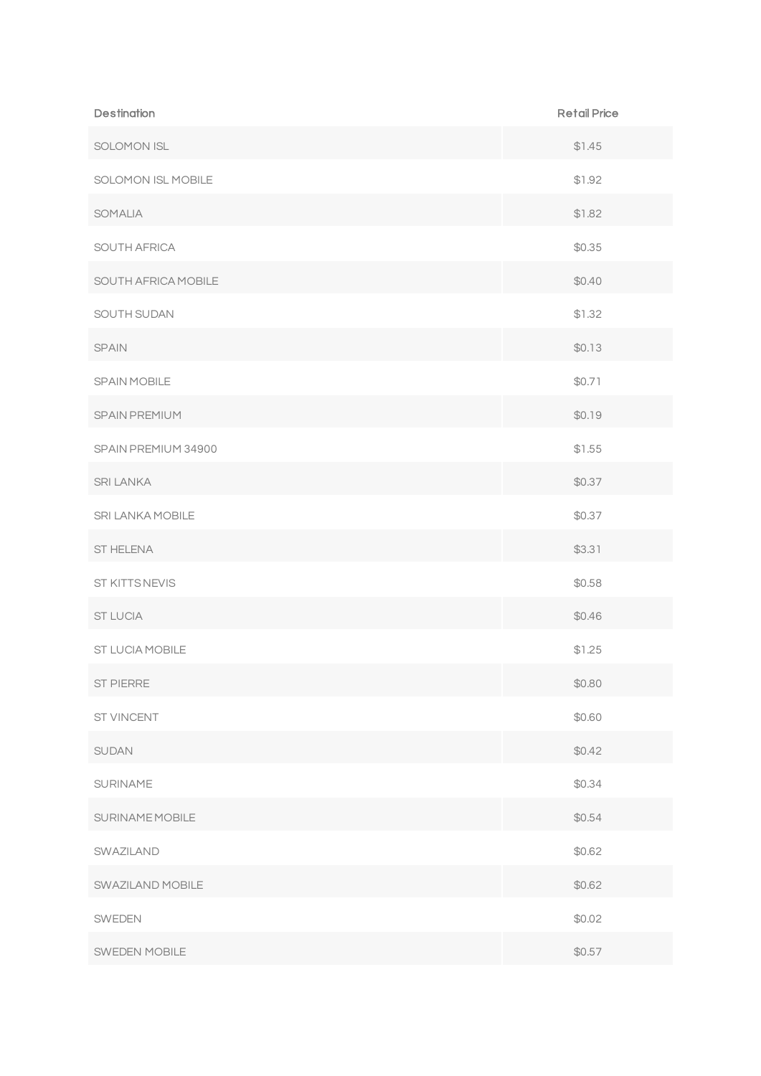| <b>Destination</b>  | <b>Retail Price</b> |
|---------------------|---------------------|
| SOLOMON ISL         | \$1.45              |
| SOLOMON ISL MOBILE  | \$1.92              |
| SOMALIA             | \$1.82              |
| SOUTH AFRICA        | \$0.35              |
| SOUTH AFRICA MOBILE | \$0.40              |
| SOUTH SUDAN         | \$1.32              |
| <b>SPAIN</b>        | \$0.13              |
| SPAIN MOBILE        | \$0.71              |
| SPAIN PREMIUM       | \$0.19              |
| SPAIN PREMIUM 34900 | \$1.55              |
| <b>SRI LANKA</b>    | \$0.37              |
| SRI LANKA MOBILE    | \$0.37              |
| ST HELENA           | \$3.31              |
| ST KITTS NEVIS      | \$0.58              |
| <b>ST LUCIA</b>     | \$0.46              |
| ST LUCIA MOBILE     | \$1.25              |
| ST PIERRE           | \$0.80              |
| ST VINCENT          | \$0.60              |
| SUDAN               | \$0.42              |
| SURINAME            | \$0.34              |
| SURINAME MOBILE     | \$0.54              |
| SWAZILAND           | \$0.62              |
| SWAZILAND MOBILE    | \$0.62              |
| SWEDEN              | \$0.02              |
| SWEDEN MOBILE       | \$0.57              |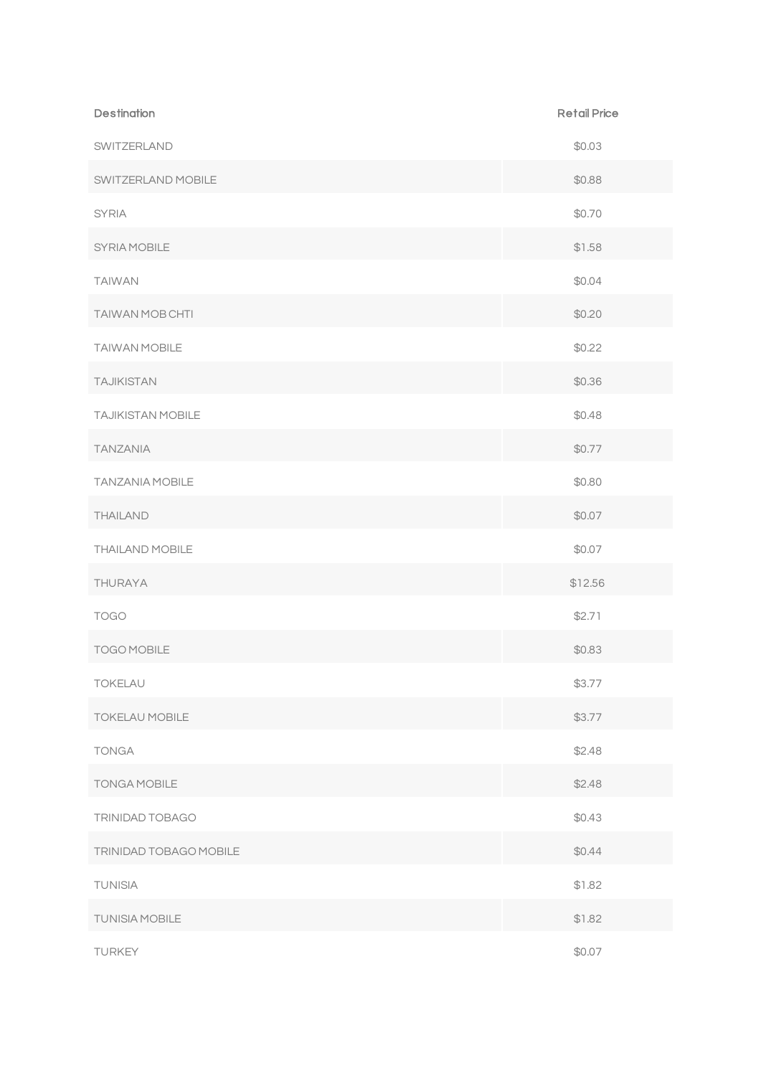| <b>Destination</b>       | <b>Retail Price</b> |
|--------------------------|---------------------|
| SWITZERLAND              | \$0.03              |
| SWITZERLAND MOBILE       | \$0.88              |
| <b>SYRIA</b>             | \$0.70              |
| SYRIA MOBILE             | \$1.58              |
| <b>TAIWAN</b>            | \$0.04              |
| TAIWAN MOB CHTI          | \$0.20              |
| TAIWAN MOBILE            | \$0.22              |
| <b>TAJIKISTAN</b>        | \$0.36              |
| <b>TAJIKISTAN MOBILE</b> | \$0.48              |
| <b>TANZANIA</b>          | \$0.77              |
| <b>TANZANIA MOBILE</b>   | \$0.80              |
| <b>THAILAND</b>          | \$0.07              |
| THAILAND MOBILE          | \$0.07              |
| <b>THURAYA</b>           | \$12.56             |
| <b>TOGO</b>              | \$2.71              |
| TOGO MOBILE              | \$0.83              |
| TOKELAU                  | \$3.77              |
| <b>TOKELAU MOBILE</b>    | \$3.77              |
| <b>TONGA</b>             | \$2.48              |
| <b>TONGA MOBILE</b>      | \$2.48              |
| TRINIDAD TOBAGO          | \$0.43              |
| TRINIDAD TOBAGO MOBILE   | \$0.44              |
| <b>TUNISIA</b>           | \$1.82              |
| <b>TUNISIA MOBILE</b>    | \$1.82              |
| TURKEY                   | \$0.07              |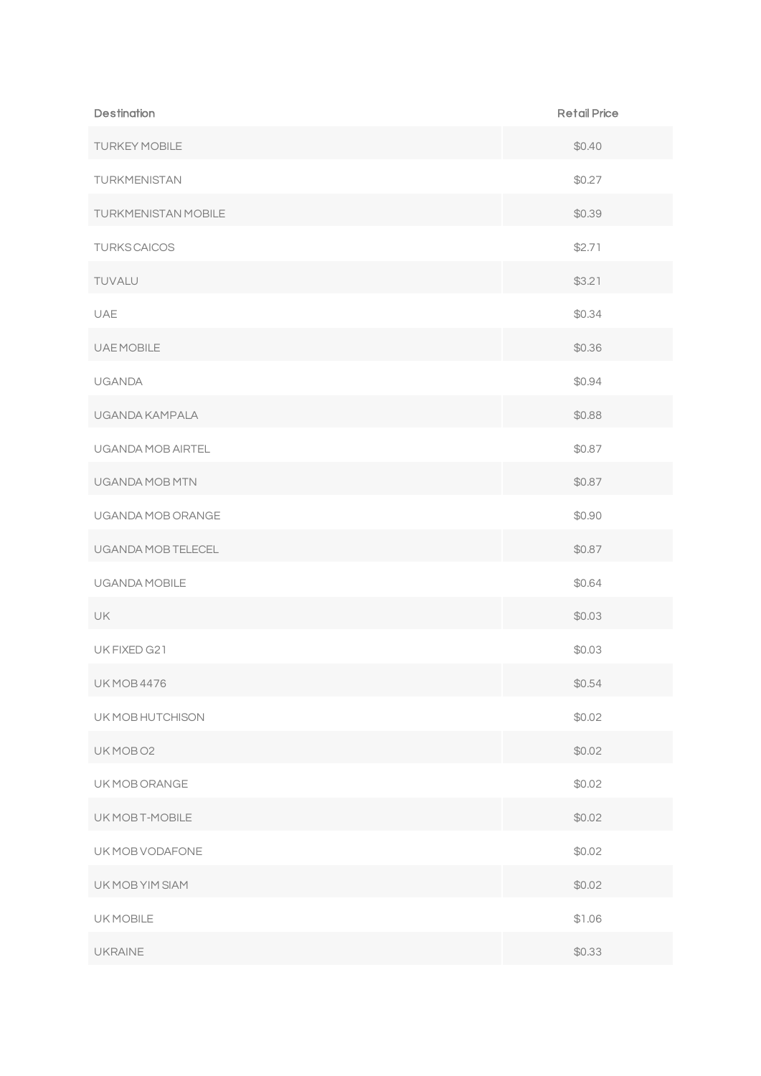| <b>Destination</b>   | <b>Retail Price</b> |
|----------------------|---------------------|
| <b>TURKEY MOBILE</b> | \$0.40              |
| TURKMENISTAN         | \$0.27              |
| TURKMENISTAN MOBILE  | \$0.39              |
| <b>TURKS CAICOS</b>  | \$2.71              |
| TUVALU               | \$3.21              |
| UAE                  | \$0.34              |
| <b>UAEMOBILE</b>     | \$0.36              |
| <b>UGANDA</b>        | \$0.94              |
| UGANDA KAMPALA       | \$0.88              |
| UGANDA MOB AIRTEL    | \$0.87              |
| UGANDA MOB MTN       | \$0.87              |
| UGANDA MOB ORANGE    | \$0.90              |
| UGANDA MOB TELECEL   | \$0.87              |
| UGANDA MOBILE        | \$0.64              |
| <b>UK</b>            | \$0.03              |
| UK FIXED G21         | \$0.03              |
| <b>UK MOB 4476</b>   | \$0.54              |
| UK MOB HUTCHISON     | \$0.02              |
| UKMOBO <sub>2</sub>  | \$0.02              |
| UK MOB ORANGE        | \$0.02              |
| UK MOB T-MOBILE      | \$0.02              |
| UK MOB VODAFONE      | \$0.02              |
| UK MOB YIM SIAM      | \$0.02              |
| UK MOBILE            | \$1.06              |
| <b>UKRAINE</b>       | \$0.33              |